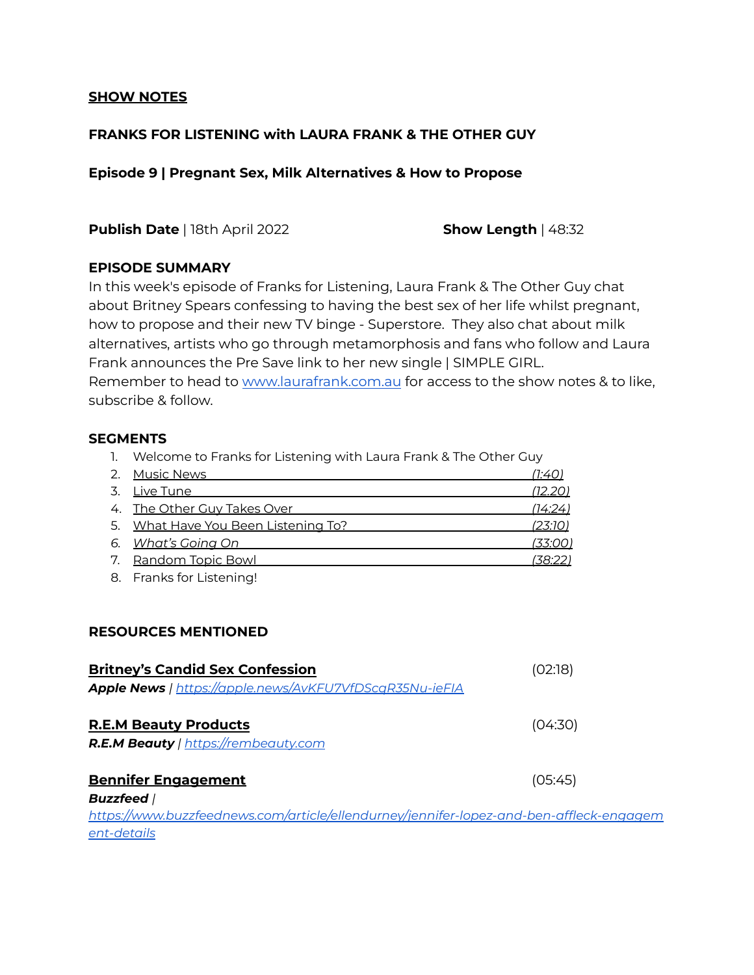## **SHOW NOTES**

# **FRANKS FOR LISTENING with LAURA FRANK & THE OTHER GUY**

**Episode 9 | Pregnant Sex, Milk Alternatives & How to Propose**

**Publish Date** | 18th April 2022 **Show Length** | 48:32

## **EPISODE SUMMARY**

In this week's episode of Franks for Listening, Laura Frank & The Other Guy chat about Britney Spears confessing to having the best sex of her life whilst pregnant, how to propose and their new TV binge - Superstore. They also chat about milk alternatives, artists who go through metamorphosis and fans who follow and Laura Frank announces the Pre Save link to her new single | SIMPLE GIRL. Remember to head to [www.laurafrank.com.au](http://www.laurafrank.com.au) for access to the show notes & to like, subscribe & follow.

## **SEGMENTS**

1. Welcome to Franks for Listening with Laura Frank & The Other Guy

| 2. Music News                       | 1:40           |
|-------------------------------------|----------------|
| 3. Live Tune                        | <u>(12.20)</u> |
| 4. The Other Guy Takes Over         | (14:24)        |
| 5. What Have You Been Listening To? | <u>(23:10)</u> |
| 6. What's Going On                  | <u>(33:00)</u> |
| 7. Random Topic Bowl                | (38:22)        |
|                                     |                |

8. Franks for Listening!

## **RESOURCES MENTIONED**

| <b>Britney's Candid Sex Confession</b>                                                  | (02:18) |
|-----------------------------------------------------------------------------------------|---------|
| Apple News   https://apple.news/AvKFU7VfDScaR35Nu-ieFIA                                 |         |
| <b>R.E.M Beauty Products</b>                                                            | (04:30) |
| R.E.M Beauty   https://rembeauty.com                                                    |         |
| <b>Bennifer Engagement</b>                                                              | (05:45) |
| <b>Buzzfeed</b> /                                                                       |         |
| https://www.buzzfeednews.com/article/ellendurney/jennifer-lopez-and-ben-affleck-engagem |         |
| ent-details                                                                             |         |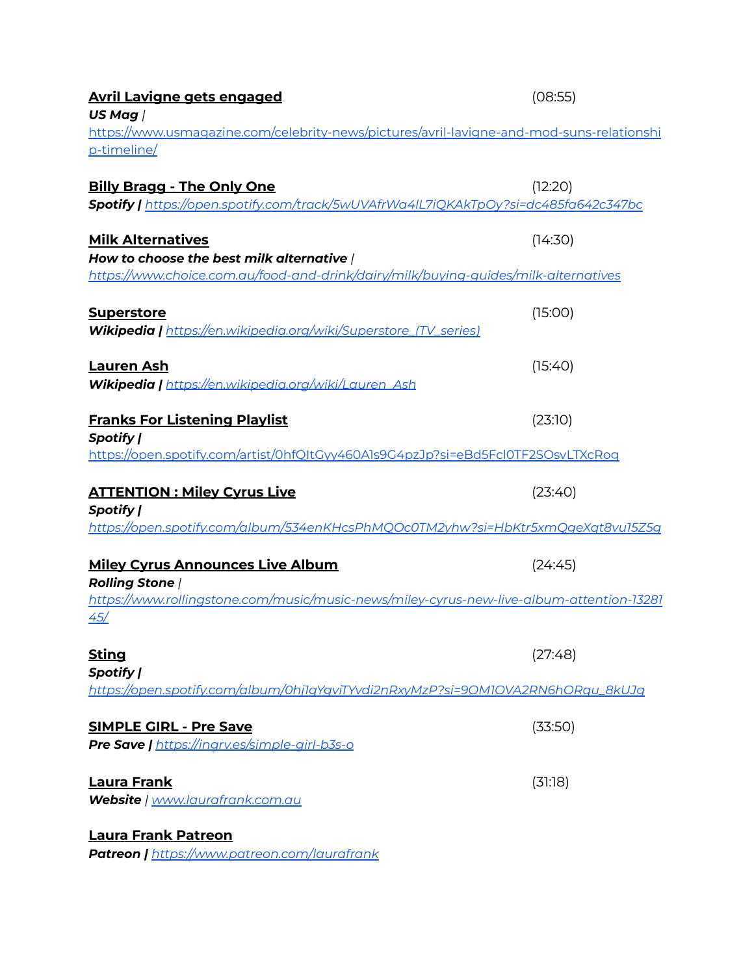| <u>Avril Lavigne gets engaged</u><br>US Mag /                                                                                                                       | (08:55) |
|---------------------------------------------------------------------------------------------------------------------------------------------------------------------|---------|
| https://www.usmagazine.com/celebrity-news/pictures/avril-lavigne-and-mod-suns-relationshi<br>p-timeline/                                                            |         |
| <b>Billy Bragg - The Only One</b><br>Spotify   https://open.spotify.com/track/5wUVAfrWa4IL7iQKAkTpOy?si=dc485fa642c347bc                                            | (12:20) |
| <b>Milk Alternatives</b><br>How to choose the best milk alternative /<br><u>https://www.choice.com.au/food-and-drink/dairy/milk/buying-guides/milk-alternatives</u> | (14:30) |
| <b>Superstore</b><br>Wikipedia   https://en.wikipedia.org/wiki/Superstore_(TV_series)                                                                               | (15:00) |
| <b>Lauren Ash</b><br>Wikipedia   https://en.wikipedia.org/wiki/Lauren_Ash                                                                                           | (15:40) |
| <b>Franks For Listening Playlist</b><br>Spotify                                                                                                                     | (23:10) |
| <u>https://open.spotify.com/artist/0hfQItGyy460A1s9G4pzJp?si=eBd5FcI0TF2SOsvLTXcRoq</u>                                                                             |         |
| <u> ATTENTION : Miley Cyrus Live</u><br>Spotify  <br>https://open.spotify.com/album/534enKHcsPhMQOc0TM2yhw?si=HbKtr5xmQgeXqt8vu15Z5g                                | (23:40) |
| <u> Miley Cyrus Announces Live Album</u><br><b>Rolling Stone /</b><br>https://www.rollingstone.com/music/music-news/miley-cyrus-new-live-album-attention-13281      | (24:45) |
| <u>45/</u>                                                                                                                                                          |         |
| <u>Sting</u><br>Spotify                                                                                                                                             | (27:48) |
| https://open.spotify.com/album/0hj1gYgviTYvdi2nRxyMzP?si=90M10VA2RN6hORqu_8kUJg                                                                                     |         |
| <b>SIMPLE GIRL - Pre Save</b><br>Pre Save   https://ingrv.es/simple-girl-b3s-o                                                                                      | (33:50) |
| <u>Laura Frank</u><br>Website   www.laurafrank.com.au                                                                                                               | (31:18) |
| Laura Frank Patreon<br><b>Patreon  </b> https://www.patreon.com/laurafrank                                                                                          |         |